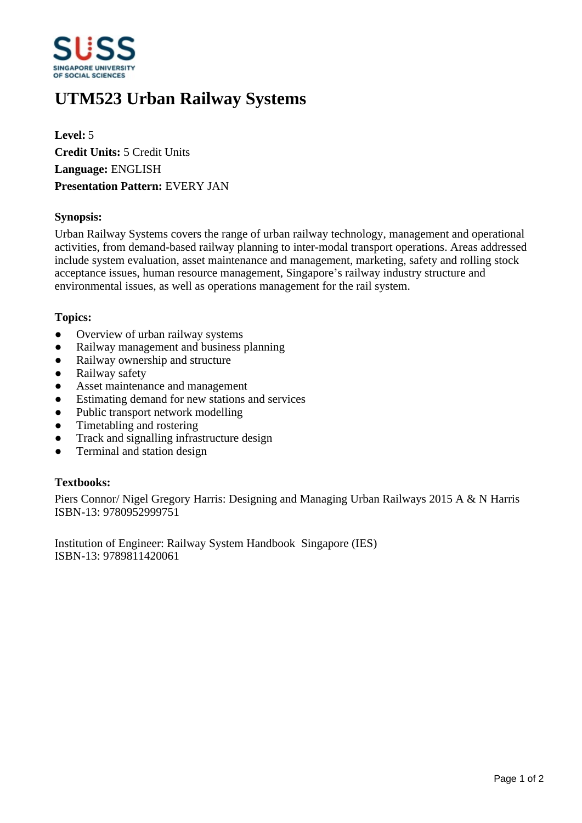

# **UTM523 Urban Railway Systems**

**Level:** 5 **Credit Units:** 5 Credit Units **Language:** ENGLISH **Presentation Pattern:** EVERY JAN

## **Synopsis:**

Urban Railway Systems covers the range of urban railway technology, management and operational activities, from demand-based railway planning to inter-modal transport operations. Areas addressed include system evaluation, asset maintenance and management, marketing, safety and rolling stock acceptance issues, human resource management, Singapore's railway industry structure and environmental issues, as well as operations management for the rail system.

#### **Topics:**

- Overview of urban railway systems
- Railway management and business planning
- Railway ownership and structure
- Railway safety
- Asset maintenance and management
- ƔEstimating demand for new stations and services
- Public transport network modelling
- Timetabling and rostering
- Track and signalling infrastructure design
- Terminal and station design

#### **Textbooks:**

Piers Connor/ Nigel Gregory Harris: Designing and Managing Urban Railways 2015 A & N Harris ISBN-13: 9780952999751

Institution of Engineer: Railway System Handbook Singapore (IES) ISBN-13: 9789811420061